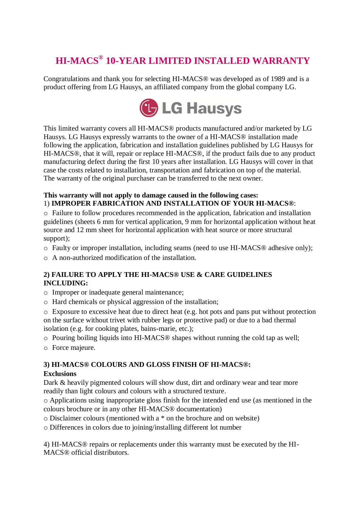# **HI-MACS® 10-YEAR LIMITED INSTALLED WARRANTY**

Congratulations and thank you for selecting HI-MACS® was developed as of 1989 and is a product offering from LG Hausys, an affiliated company from the global company LG.



This limited warranty covers all HI-MACS® products manufactured and/or marketed by LG Hausys. LG Hausys expressly warrants to the owner of a HI-MACS® installation made following the application, fabrication and installation guidelines published by LG Hausys for HI-MACS® , that it will, repair or replace HI-MACS® , if the product fails due to any product manufacturing defect during the first 10 years after installation. LG Hausys will cover in that case the costs related to installation, transportation and fabrication on top of the material. The warranty of the original purchaser can be transferred to the next owner.

### **This warranty will not apply to damage caused in the following cases:**  1) **IMPROPER FABRICATION AND INSTALLATION OF YOUR HI-MACS®** :

o Failure to follow procedures recommended in the application, fabrication and installation guidelines (sheets 6 mm for vertical application, 9 mm for horizontal application without heat source and 12 mm sheet for horizontal application with heat source or more structural support);

- o Faulty or improper installation, including seams (need to use HI-MACS® adhesive only);
- o A non-authorized modification of the installation.

## **2) FAILURE TO APPLY THE HI-MACS® USE & CARE GUIDELINES INCLUDING:**

- o Improper or inadequate general maintenance;
- o Hard chemicals or physical aggression of the installation;

o Exposure to excessive heat due to direct heat (e.g. hot pots and pans put without protection on the surface without trivet with rubber legs or protective pad) or due to a bad thermal isolation (e.g. for cooking plates, bains-marie, etc.);

- o Pouring boiling liquids into HI-MACS® shapes without running the cold tap as well;
- o Force majeure.

# **3) HI-MACS® COLOURS AND GLOSS FINISH OF HI-MACS® :**

## **Exclusions**

Dark & heavily pigmented colours will show dust, dirt and ordinary wear and tear more readily than light colours and colours with a structured texture.

o Applications using inappropriate gloss finish for the intended end use (as mentioned in the colours brochure or in any other HI-MACS® documentation)

o Disclaimer colours (mentioned with a \* on the brochure and on website)

o Differences in colors due to joining/installing different lot number

4) HI-MACS® repairs or replacements under this warranty must be executed by the HI-MACS® official distributors.